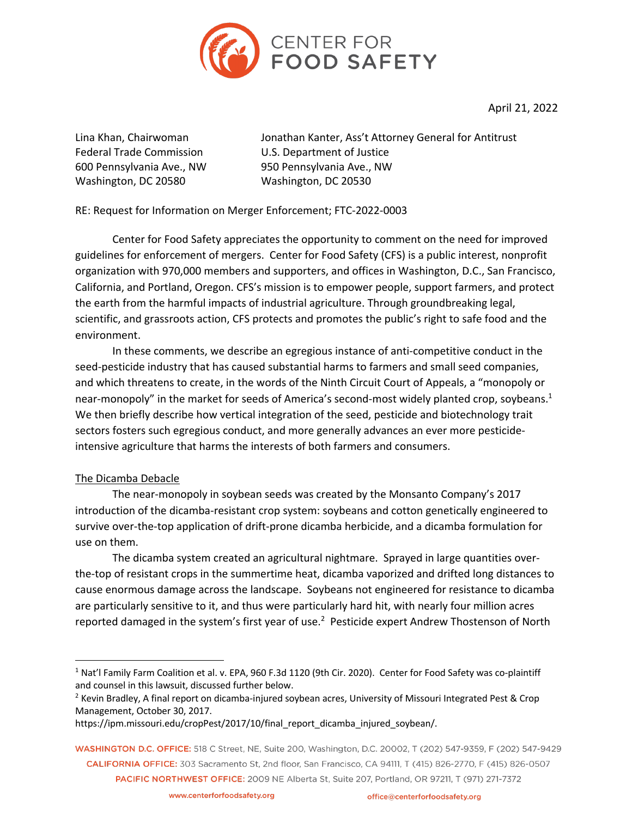

April 21, 2022

Washington, DC 20580 Washington, DC 20530

Lina Khan, Chairwoman Jonathan Kanter, Ass't Attorney General for Antitrust Federal Trade Commission **U.S. Department of Justice** 600 Pennsylvania Ave., NW 950 Pennsylvania Ave., NW

RE: Request for Information on Merger Enforcement; FTC-2022-0003

Center for Food Safety appreciates the opportunity to comment on the need for improved guidelines for enforcement of mergers. Center for Food Safety (CFS) is a public interest, nonprofit organization with 970,000 members and supporters, and offices in Washington, D.C., San Francisco, California, and Portland, Oregon. CFS's mission is to empower people, support farmers, and protect the earth from the harmful impacts of industrial agriculture. Through groundbreaking legal, scientific, and grassroots action, CFS protects and promotes the public's right to safe food and the environment.

In these comments, we describe an egregious instance of anti-competitive conduct in the seed-pesticide industry that has caused substantial harms to farmers and small seed companies, and which threatens to create, in the words of the Ninth Circuit Court of Appeals, a "monopoly or near-monopoly" in the market for seeds of America's second-most widely planted crop, soybeans.<sup>1</sup> We then briefly describe how vertical integration of the seed, pesticide and biotechnology trait sectors fosters such egregious conduct, and more generally advances an ever more pesticideintensive agriculture that harms the interests of both farmers and consumers.

## The Dicamba Debacle

The near-monopoly in soybean seeds was created by the Monsanto Company's 2017 introduction of the dicamba-resistant crop system: soybeans and cotton genetically engineered to survive over-the-top application of drift-prone dicamba herbicide, and a dicamba formulation for use on them.

The dicamba system created an agricultural nightmare. Sprayed in large quantities overthe-top of resistant crops in the summertime heat, dicamba vaporized and drifted long distances to cause enormous damage across the landscape. Soybeans not engineered for resistance to dicamba are particularly sensitive to it, and thus were particularly hard hit, with nearly four million acres reported damaged in the system's first year of use.<sup>2</sup> Pesticide expert Andrew Thostenson of North

<sup>&</sup>lt;sup>1</sup> Nat'l Family Farm Coalition et al. v. EPA, 960 F.3d 1120 (9th Cir. 2020). Center for Food Safety was co-plaintiff and counsel in this lawsuit, discussed further below.

<sup>&</sup>lt;sup>2</sup> Kevin Bradley, A final report on dicamba-injured soybean acres, University of Missouri Integrated Pest & Crop Management, October 30, 2017.

https://ipm.missouri.edu/cropPest/2017/10/final\_report\_dicamba\_injured\_soybean/.

WASHINGTON D.C. OFFICE: 518 C Street, NE, Suite 200, Washington, D.C. 20002, T (202) 547-9359, F (202) 547-9429 CALIFORNIA OFFICE: 303 Sacramento St, 2nd floor, San Francisco, CA 94111, T (415) 826-2770, F (415) 826-0507 PACIFIC NORTHWEST OFFICE: 2009 NE Alberta St, Suite 207, Portland, OR 97211, T (971) 271-7372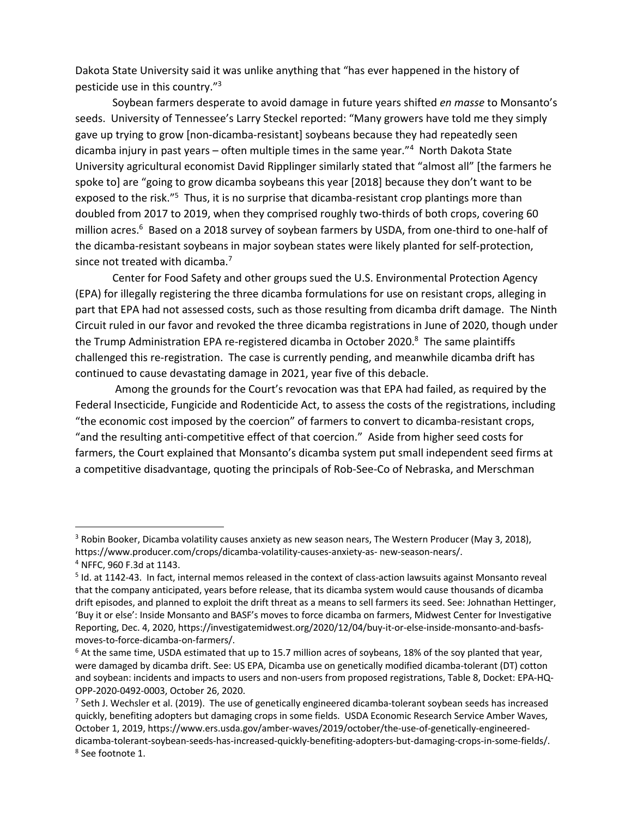Dakota State University said it was unlike anything that "has ever happened in the history of pesticide use in this country."3

Soybean farmers desperate to avoid damage in future years shifted *en masse* to Monsanto's seeds. University of Tennessee's Larry Steckel reported: "Many growers have told me they simply gave up trying to grow [non-dicamba-resistant] soybeans because they had repeatedly seen dicamba injury in past years – often multiple times in the same year."4 North Dakota State University agricultural economist David Ripplinger similarly stated that "almost all" [the farmers he spoke to] are "going to grow dicamba soybeans this year [2018] because they don't want to be exposed to the risk."<sup>5</sup> Thus, it is no surprise that dicamba-resistant crop plantings more than doubled from 2017 to 2019, when they comprised roughly two-thirds of both crops, covering 60 million acres.<sup>6</sup> Based on a 2018 survey of soybean farmers by USDA, from one-third to one-half of the dicamba-resistant soybeans in major soybean states were likely planted for self-protection, since not treated with dicamba.<sup>7</sup>

Center for Food Safety and other groups sued the U.S. Environmental Protection Agency (EPA) for illegally registering the three dicamba formulations for use on resistant crops, alleging in part that EPA had not assessed costs, such as those resulting from dicamba drift damage. The Ninth Circuit ruled in our favor and revoked the three dicamba registrations in June of 2020, though under the Trump Administration EPA re-registered dicamba in October 2020.<sup>8</sup> The same plaintiffs challenged this re-registration. The case is currently pending, and meanwhile dicamba drift has continued to cause devastating damage in 2021, year five of this debacle.

Among the grounds for the Court's revocation was that EPA had failed, as required by the Federal Insecticide, Fungicide and Rodenticide Act, to assess the costs of the registrations, including "the economic cost imposed by the coercion" of farmers to convert to dicamba-resistant crops, "and the resulting anti-competitive effect of that coercion." Aside from higher seed costs for farmers, the Court explained that Monsanto's dicamba system put small independent seed firms at a competitive disadvantage, quoting the principals of Rob-See-Co of Nebraska, and Merschman

<sup>&</sup>lt;sup>3</sup> Robin Booker, Dicamba volatility causes anxiety as new season nears, The Western Producer (May 3, 2018), https://www.producer.com/crops/dicamba-volatility-causes-anxiety-as- new-season-nears/. <sup>4</sup> NFFC, 960 F.3d at 1143.

<sup>5</sup> Id. at 1142-43. In fact, internal memos released in the context of class-action lawsuits against Monsanto reveal that the company anticipated, years before release, that its dicamba system would cause thousands of dicamba drift episodes, and planned to exploit the drift threat as a means to sell farmers its seed. See: Johnathan Hettinger, 'Buy it or else': Inside Monsanto and BASF's moves to force dicamba on farmers, Midwest Center for Investigative Reporting, Dec. 4, 2020, https://investigatemidwest.org/2020/12/04/buy-it-or-else-inside-monsanto-and-basfsmoves-to-force-dicamba-on-farmers/.<br><sup>6</sup> At the same time, USDA estimated that up to 15.7 million acres of soybeans, 18% of the soy planted that year,

were damaged by dicamba drift. See: US EPA, Dicamba use on genetically modified dicamba-tolerant (DT) cotton and soybean: incidents and impacts to users and non-users from proposed registrations, Table 8, Docket: EPA-HQ-OPP-2020-0492-0003, October 26, 2020.<br><sup>7</sup> Seth J. Wechsler et al. (2019). The use of genetically engineered dicamba-tolerant soybean seeds has increased

quickly, benefiting adopters but damaging crops in some fields. USDA Economic Research Service Amber Waves, October 1, 2019, https://www.ers.usda.gov/amber-waves/2019/october/the-use-of-genetically-engineereddicamba-tolerant-soybean-seeds-has-increased-quickly-benefiting-adopters-but-damaging-crops-in-some-fields/. <sup>8</sup> See footnote 1.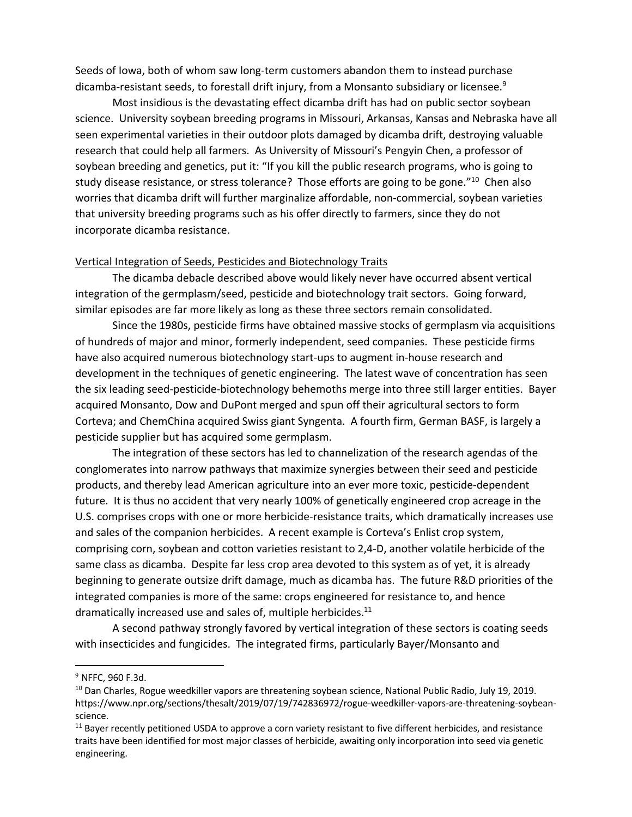Seeds of Iowa, both of whom saw long-term customers abandon them to instead purchase dicamba-resistant seeds, to forestall drift injury, from a Monsanto subsidiary or licensee.<sup>9</sup>

Most insidious is the devastating effect dicamba drift has had on public sector soybean science. University soybean breeding programs in Missouri, Arkansas, Kansas and Nebraska have all seen experimental varieties in their outdoor plots damaged by dicamba drift, destroying valuable research that could help all farmers. As University of Missouri's Pengyin Chen, a professor of soybean breeding and genetics, put it: "If you kill the public research programs, who is going to study disease resistance, or stress tolerance? Those efforts are going to be gone."<sup>10</sup> Chen also worries that dicamba drift will further marginalize affordable, non-commercial, soybean varieties that university breeding programs such as his offer directly to farmers, since they do not incorporate dicamba resistance.

## Vertical Integration of Seeds, Pesticides and Biotechnology Traits

The dicamba debacle described above would likely never have occurred absent vertical integration of the germplasm/seed, pesticide and biotechnology trait sectors. Going forward, similar episodes are far more likely as long as these three sectors remain consolidated.

Since the 1980s, pesticide firms have obtained massive stocks of germplasm via acquisitions of hundreds of major and minor, formerly independent, seed companies. These pesticide firms have also acquired numerous biotechnology start-ups to augment in-house research and development in the techniques of genetic engineering. The latest wave of concentration has seen the six leading seed-pesticide-biotechnology behemoths merge into three still larger entities. Bayer acquired Monsanto, Dow and DuPont merged and spun off their agricultural sectors to form Corteva; and ChemChina acquired Swiss giant Syngenta. A fourth firm, German BASF, is largely a pesticide supplier but has acquired some germplasm.

The integration of these sectors has led to channelization of the research agendas of the conglomerates into narrow pathways that maximize synergies between their seed and pesticide products, and thereby lead American agriculture into an ever more toxic, pesticide-dependent future. It is thus no accident that very nearly 100% of genetically engineered crop acreage in the U.S. comprises crops with one or more herbicide-resistance traits, which dramatically increases use and sales of the companion herbicides. A recent example is Corteva's Enlist crop system, comprising corn, soybean and cotton varieties resistant to 2,4-D, another volatile herbicide of the same class as dicamba. Despite far less crop area devoted to this system as of yet, it is already beginning to generate outsize drift damage, much as dicamba has. The future R&D priorities of the integrated companies is more of the same: crops engineered for resistance to, and hence dramatically increased use and sales of, multiple herbicides.<sup>11</sup>

A second pathway strongly favored by vertical integration of these sectors is coating seeds with insecticides and fungicides. The integrated firms, particularly Bayer/Monsanto and

<sup>9</sup> NFFC, 960 F.3d.

<sup>&</sup>lt;sup>10</sup> Dan Charles, Rogue weedkiller vapors are threatening soybean science, National Public Radio, July 19, 2019. https://www.npr.org/sections/thesalt/2019/07/19/742836972/rogue-weedkiller-vapors-are-threatening-soybeanscience.

 $11$  Bayer recently petitioned USDA to approve a corn variety resistant to five different herbicides, and resistance traits have been identified for most major classes of herbicide, awaiting only incorporation into seed via genetic engineering.